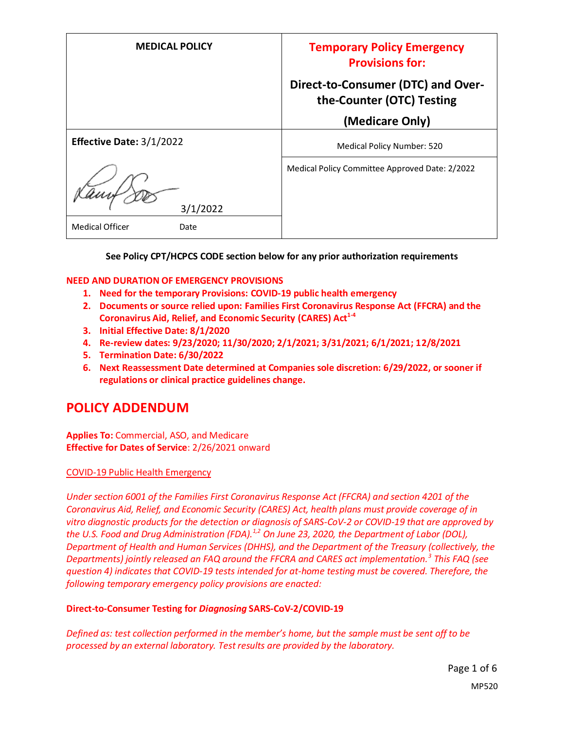| <b>MEDICAL POLICY</b>          | <b>Temporary Policy Emergency</b><br><b>Provisions for:</b>     |
|--------------------------------|-----------------------------------------------------------------|
|                                | Direct-to-Consumer (DTC) and Over-<br>the-Counter (OTC) Testing |
|                                | (Medicare Only)                                                 |
| Effective Date: 3/1/2022       | Medical Policy Number: 520                                      |
| 3/1/2022                       | Medical Policy Committee Approved Date: 2/2022                  |
| <b>Medical Officer</b><br>Date |                                                                 |

**See Policy CPT/HCPCS CODE section below for any prior authorization requirements**

#### **NEED AND DURATION OF EMERGENCY PROVISIONS**

- **1. Need for the temporary Provisions: COVID-19 public health emergency**
- **2. Documents or source relied upon: Families First Coronavirus Response Act (FFCRA) and the Coronavirus Aid, Relief, and Economic Security (CARES) Act1-4**
- **3. Initial Effective Date: 8/1/2020**
- **4. Re-review dates: 9/23/2020; 11/30/2020; 2/1/2021; 3/31/2021; 6/1/2021; 12/8/2021**
- **5. Termination Date: 6/30/2022**
- **6. Next Reassessment Date determined at Companies sole discretion: 6/29/2022, or sooner if regulations or clinical practice guidelines change.**

# **POLICY ADDENDUM**

**Applies To:** Commercial, ASO, and Medicare **Effective for Dates of Service**: 2/26/2021 onward

#### COVID-19 Public Health Emergency

*Under section 6001 of the Families First Coronavirus Response Act (FFCRA) and section 4201 of the Coronavirus Aid, Relief, and Economic Security (CARES) Act, health plans must provide coverage of in vitro diagnostic products for the detection or diagnosis of SARS-CoV-2 or COVID-19 that are approved by the U.S. Food and Drug Administration (FDA).1,2 On June 23, 2020, the Department of Labor (DOL), Department of Health and Human Services (DHHS), and the Department of the Treasury (collectively, the Departments) jointly released an FAQ around the FFCRA and CARES act implementation.<sup>3</sup> This FAQ (see question 4) indicates that COVID-19 tests intended for at-home testing must be covered. Therefore, the following temporary emergency policy provisions are enacted:*

#### **Direct-to-Consumer Testing for** *Diagnosing* **SARS-CoV-2/COVID-19**

*Defined as: test collection performed in the member's home, but the sample must be sent off to be processed by an external laboratory. Test results are provided by the laboratory.*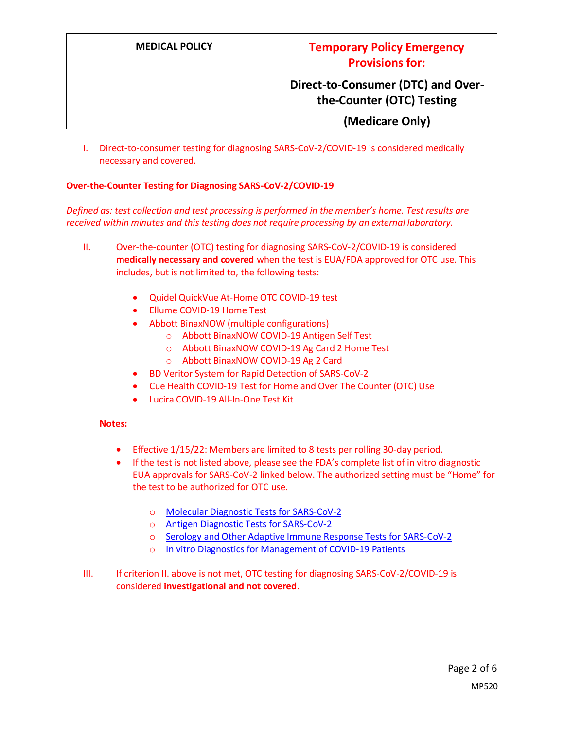# **Direct-to-Consumer (DTC) and Overthe-Counter (OTC) Testing**

#### **(Medicare Only)**

I. Direct-to-consumer testing for diagnosing SARS-CoV-2/COVID-19 is considered medically necessary and covered.

#### **Over-the-Counter Testing for Diagnosing SARS-CoV-2/COVID-19**

*Defined as: test collection and test processing is performed in the member's home. Test results are received within minutes and this testing does not require processing by an external laboratory.*

- II. Over-the-counter (OTC) testing for diagnosing SARS-CoV-2/COVID-19 is considered **medically necessary and covered** when the test is EUA/FDA approved for OTC use. This includes, but is not limited to, the following tests:
	- Quidel QuickVue At-Home OTC COVID-19 test
	- Ellume COVID-19 Home Test
	- Abbott BinaxNOW (multiple configurations)
		- o Abbott BinaxNOW COVID-19 Antigen Self Test
		- o Abbott BinaxNOW COVID-19 Ag Card 2 Home Test
		- o Abbott BinaxNOW COVID-19 Ag 2 Card
	- BD Veritor System for Rapid Detection of SARS-CoV-2
	- Cue Health COVID-19 Test for Home and Over The Counter (OTC) Use
	- Lucira COVID-19 All-In-One Test Kit

#### **Notes:**

- Effective 1/15/22: Members are limited to 8 tests per rolling 30-day period.
- If the test is not listed above, please see the FDA's complete list of in vitro diagnostic EUA approvals for SARS-CoV-2 linked below. The authorized setting must be "Home" for the test to be authorized for OTC use.
	- o [Molecular Diagnostic Tests for SARS-CoV-2](https://www.fda.gov/medical-devices/coronavirus-disease-2019-covid-19-emergency-use-authorizations-medical-devices/in-vitro-diagnostics-euas-molecular-diagnostic-tests-sars-cov-2)
	- o [Antigen Diagnostic Tests for SARS-CoV-2](https://www.fda.gov/medical-devices/coronavirus-disease-2019-covid-19-emergency-use-authorizations-medical-devices/in-vitro-diagnostics-euas-antigen-diagnostic-tests-sars-cov-2)
	- o [Serology and Other Adaptive Immune Response Tests for SARS-CoV-2](https://www.fda.gov/medical-devices/coronavirus-disease-2019-covid-19-emergency-use-authorizations-medical-devices/in-vitro-diagnostics-euas-serology-and-other-adaptive-immune-response-tests-sars-cov-2)
	- o [In vitro Diagnostics for Management of COVID-19 Patients](https://www.fda.gov/medical-devices/coronavirus-disease-2019-covid-19-emergency-use-authorizations-medical-devices/in-vitro-diagnostics-euas-ivds-management-covid-19-patients)
- III. If criterion II. above is not met, OTC testing for diagnosing SARS-CoV-2/COVID-19 is considered **investigational and not covered**.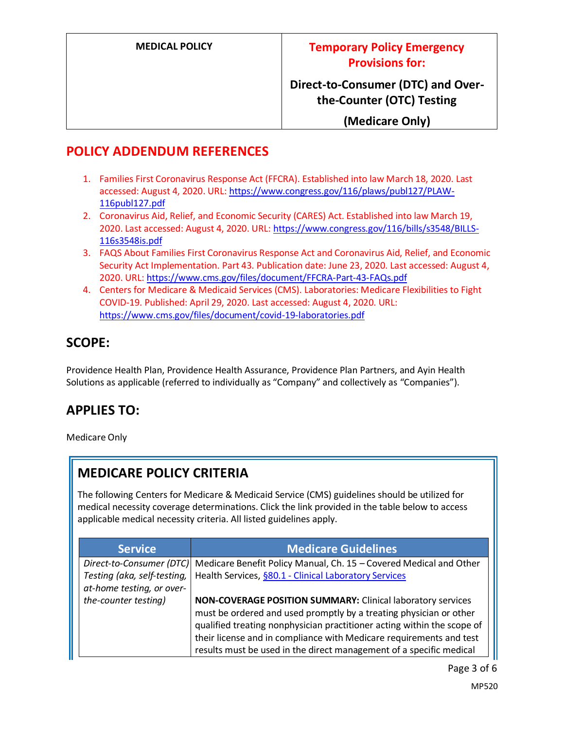**Direct-to-Consumer (DTC) and Overthe-Counter (OTC) Testing**

**(Medicare Only)**

#### **POLICY ADDENDUM REFERENCES**

- 1. Families First Coronavirus Response Act (FFCRA). Established into law March 18, 2020. Last accessed: August 4, 2020. URL[: https://www.congress.gov/116/plaws/publ127/PLAW-](https://www.congress.gov/116/plaws/publ127/PLAW-116publ127.pdf)[116publ127.pdf](https://www.congress.gov/116/plaws/publ127/PLAW-116publ127.pdf)
- 2. Coronavirus Aid, Relief, and Economic Security (CARES) Act. Established into law March 19, 2020. Last accessed: August 4, 2020. URL[: https://www.congress.gov/116/bills/s3548/BILLS-](https://www.congress.gov/116/bills/s3548/BILLS-116s3548is.pdf)[116s3548is.pdf](https://www.congress.gov/116/bills/s3548/BILLS-116s3548is.pdf)
- 3. FAQS About Families First Coronavirus Response Act and Coronavirus Aid, Relief, and Economic Security Act Implementation. Part 43. Publication date: June 23, 2020. Last accessed: August 4, 2020. URL[: https://www.cms.gov/files/document/FFCRA-Part-43-FAQs.pdf](https://www.cms.gov/files/document/FFCRA-Part-43-FAQs.pdf)
- 4. Centers for Medicare & Medicaid Services (CMS). Laboratories: Medicare Flexibilities to Fight COVID-19. Published: April 29, 2020. Last accessed: August 4, 2020. URL: <https://www.cms.gov/files/document/covid-19-laboratories.pdf>

# **SCOPE:**

Providence Health Plan, Providence Health Assurance, Providence Plan Partners, and Ayin Health Solutions as applicable (referred to individually as "Company" and collectively as "Companies").

# **APPLIES TO:**

Medicare Only

# **MEDICARE POLICY CRITERIA**

The following Centers for Medicare & Medicaid Service (CMS) guidelines should be utilized for medical necessity coverage determinations. Click the link provided in the table below to access applicable medical necessity criteria. All listed guidelines apply.

| <b>Service</b>              | <b>Medicare Guidelines</b>                                              |
|-----------------------------|-------------------------------------------------------------------------|
| Direct-to-Consumer (DTC)    | Medicare Benefit Policy Manual, Ch. 15 - Covered Medical and Other      |
| Testing (aka, self-testing, | Health Services, §80.1 - Clinical Laboratory Services                   |
| at-home testing, or over-   |                                                                         |
| the-counter testing)        | NON-COVERAGE POSITION SUMMARY: Clinical laboratory services             |
|                             | must be ordered and used promptly by a treating physician or other      |
|                             | qualified treating nonphysician practitioner acting within the scope of |
|                             | their license and in compliance with Medicare requirements and test     |
|                             | results must be used in the direct management of a specific medical     |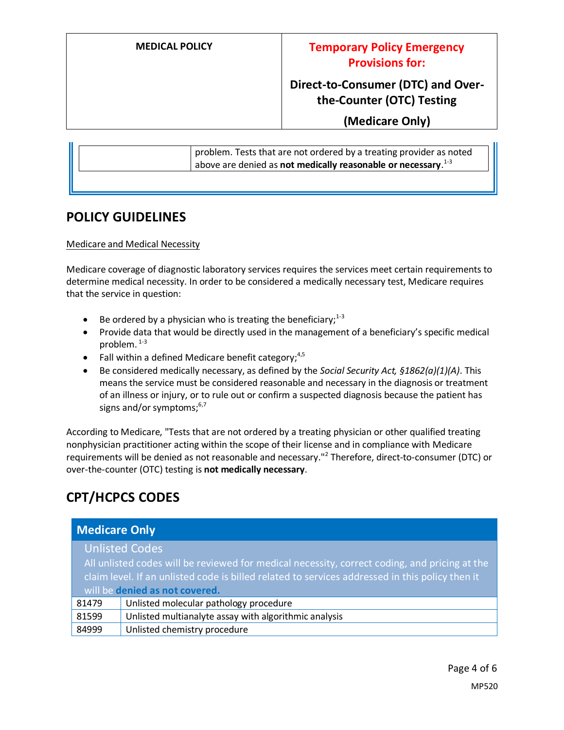#### **MEDICAL POLICY Temporary Policy Emergency Provisions for:**

# **Direct-to-Consumer (DTC) and Overthe-Counter (OTC) Testing**

**(Medicare Only)**

|  | problem. Tests that are not ordered by a treating provider as noted<br>above are denied as not medically reasonable or necessary. <sup>1-3</sup> |
|--|--------------------------------------------------------------------------------------------------------------------------------------------------|
|  |                                                                                                                                                  |

#### **POLICY GUIDELINES**

Medicare and Medical Necessity

Medicare coverage of diagnostic laboratory services requires the services meet certain requirements to determine medical necessity. In order to be considered a medically necessary test, Medicare requires that the service in question:

- Be ordered by a physician who is treating the beneficiary;  $1-3$
- Provide data that would be directly used in the management of a beneficiary's specific medical problem.  $1-3$
- Fall within a defined Medicare benefit category;  $4,5$
- Be considered medically necessary, as defined by the *Social Security Act, §1862(a)(1)(A)*. This means the service must be considered reasonable and necessary in the diagnosis or treatment of an illness or injury, or to rule out or confirm a suspected diagnosis because the patient has signs and/or symptoms; $6,7$

According to Medicare, "Tests that are not ordered by a treating physician or other qualified treating nonphysician practitioner acting within the scope of their license and in compliance with Medicare requirements will be denied as not reasonable and necessary."<sup>2</sup> Therefore, direct-to-consumer (DTC) or over-the-counter (OTC) testing is **not medically necessary**.

# **CPT/HCPCS CODES**

| <b>Medicare Only</b>                                                                            |                                                       |  |
|-------------------------------------------------------------------------------------------------|-------------------------------------------------------|--|
| <b>Unlisted Codes</b>                                                                           |                                                       |  |
| All unlisted codes will be reviewed for medical necessity, correct coding, and pricing at the   |                                                       |  |
| claim level. If an unlisted code is billed related to services addressed in this policy then it |                                                       |  |
| will be denied as not covered.                                                                  |                                                       |  |
| 81479                                                                                           | Unlisted molecular pathology procedure                |  |
| 81599                                                                                           | Unlisted multianalyte assay with algorithmic analysis |  |
| 84999                                                                                           | Unlisted chemistry procedure                          |  |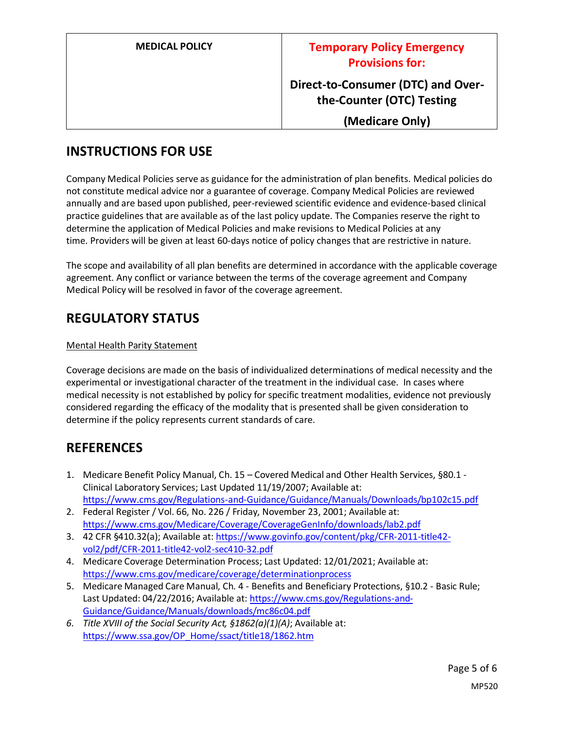| <b>MEDICAL POLICY</b> | <b>Temporary Policy Emergency</b><br><b>Provisions for:</b>     |
|-----------------------|-----------------------------------------------------------------|
|                       | Direct-to-Consumer (DTC) and Over-<br>the-Counter (OTC) Testing |
|                       | (Medicare Only)                                                 |

# **INSTRUCTIONS FOR USE**

Company Medical Policies serve as guidance for the administration of plan benefits. Medical policies do not constitute medical advice nor a guarantee of coverage. Company Medical Policies are reviewed annually and are based upon published, peer-reviewed scientific evidence and evidence-based clinical practice guidelines that are available as of the last policy update. The Companies reserve the right to determine the application of Medical Policies and make revisions to Medical Policies at any time. Providers will be given at least 60-days notice of policy changes that are restrictive in nature.

The scope and availability of all plan benefits are determined in accordance with the applicable coverage agreement. Any conflict or variance between the terms of the coverage agreement and Company Medical Policy will be resolved in favor of the coverage agreement.

# **REGULATORY STATUS**

#### Mental Health Parity Statement

Coverage decisions are made on the basis of individualized determinations of medical necessity and the experimental or investigational character of the treatment in the individual case. In cases where medical necessity is not established by policy for specific treatment modalities, evidence not previously considered regarding the efficacy of the modality that is presented shall be given consideration to determine if the policy represents current standards of care.

# **REFERENCES**

- 1. Medicare Benefit Policy Manual, Ch. 15 Covered Medical and Other Health Services, §80.1 Clinical Laboratory Services; Last Updated 11/19/2007; Available at: <https://www.cms.gov/Regulations-and-Guidance/Guidance/Manuals/Downloads/bp102c15.pdf>
- 2. Federal Register / Vol. 66, No. 226 / Friday, November 23, 2001; Available at: <https://www.cms.gov/Medicare/Coverage/CoverageGenInfo/downloads/lab2.pdf>
- 3. 42 CFR §410.32(a); Available at[: https://www.govinfo.gov/content/pkg/CFR-2011-title42](https://www.govinfo.gov/content/pkg/CFR-2011-title42-vol2/pdf/CFR-2011-title42-vol2-sec410-32.pdf) [vol2/pdf/CFR-2011-title42-vol2-sec410-32.pdf](https://www.govinfo.gov/content/pkg/CFR-2011-title42-vol2/pdf/CFR-2011-title42-vol2-sec410-32.pdf)
- 4. Medicare Coverage Determination Process; Last Updated: 12/01/2021; Available at: <https://www.cms.gov/medicare/coverage/determinationprocess>
- 5. Medicare Managed Care Manual, Ch. 4 Benefits and Beneficiary Protections, §10.2 Basic Rule; Last Updated: 04/22/2016; Available at[: https://www.cms.gov/Regulations-and-](https://www.cms.gov/Regulations-and-Guidance/Guidance/Manuals/downloads/mc86c04.pdf)[Guidance/Guidance/Manuals/downloads/mc86c04.pdf](https://www.cms.gov/Regulations-and-Guidance/Guidance/Manuals/downloads/mc86c04.pdf)
- *6. Title XVIII of the Social Security Act, §1862(a)(1)(A)*; Available at: [https://www.ssa.gov/OP\\_Home/ssact/title18/1862.htm](https://www.ssa.gov/OP_Home/ssact/title18/1862.htm)